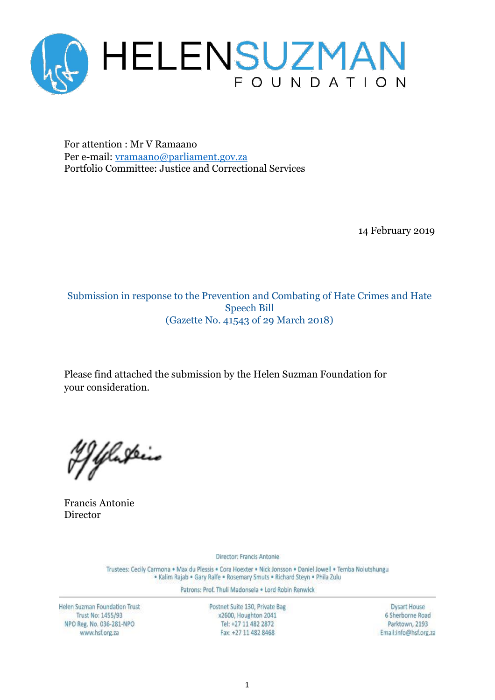

For attention : Mr V Ramaano Per e-mail: [vramaano@parliament.gov.za](mailto:vramaano@parliament.gov.za) Portfolio Committee: Justice and Correctional Services

14 February 2019

Submission in response to the Prevention and Combating of Hate Crimes and Hate Speech Bill (Gazette No. 41543 of 29 March 2018)

Please find attached the submission by the Helen Suzman Foundation for your consideration.

Yelaskiis

Francis Antonie Director

Director: Francis Antonie

Trustees: Cecily Carmona . Max du Plessis . Cora Hoexter . Nick Jonsson . Daniel Jowell . Temba Nolutshungu · Kalim Rajab · Gary Ralfe · Rosemary Smuts · Richard Steyn · Phila Zulu

Patrons: Prof. Thuli Madonsela . Lord Robin Renwick

Helen Suzman Foundation Trust Trust No: 1455/93 NPO Reg. No. 036-281-NPO www.hsf.org.za

Postnet Suite 130, Private Bag x2600, Houghton 2041 Tel: +27 11 482 2872 Fax: +27 11 482 8468

**Dysart House** 6 Sherborne Road Parktown, 2193 Email:info@hsf.org.za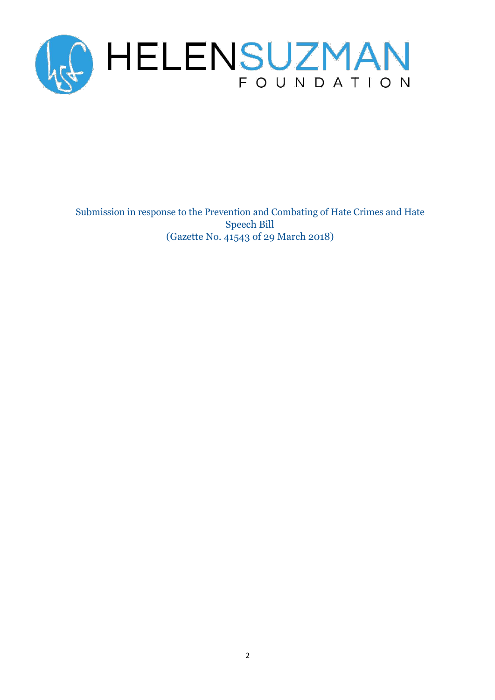

Submission in response to the Prevention and Combating of Hate Crimes and Hate Speech Bill (Gazette No. 41543 of 29 March 2018)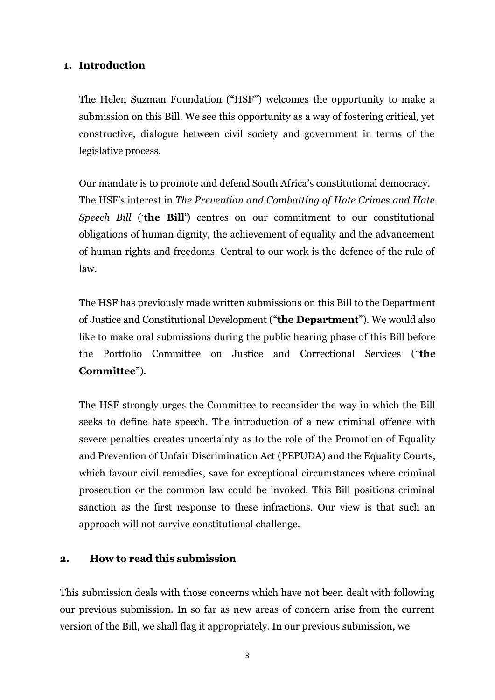## **1. Introduction**

The Helen Suzman Foundation ("HSF") welcomes the opportunity to make a submission on this Bill. We see this opportunity as a way of fostering critical, yet constructive, dialogue between civil society and government in terms of the legislative process.

Our mandate is to promote and defend South Africa's constitutional democracy. The HSF's interest in *The Prevention and Combatting of Hate Crimes and Hate Speech Bill* ('**the Bill**') centres on our commitment to our constitutional obligations of human dignity, the achievement of equality and the advancement of human rights and freedoms. Central to our work is the defence of the rule of law.

The HSF has previously made written submissions on this Bill to the Department of Justice and Constitutional Development ("**the Department**"). We would also like to make oral submissions during the public hearing phase of this Bill before the Portfolio Committee on Justice and Correctional Services ("**the Committee**").

The HSF strongly urges the Committee to reconsider the way in which the Bill seeks to define hate speech. The introduction of a new criminal offence with severe penalties creates uncertainty as to the role of the Promotion of Equality and Prevention of Unfair Discrimination Act (PEPUDA) and the Equality Courts, which favour civil remedies, save for exceptional circumstances where criminal prosecution or the common law could be invoked. This Bill positions criminal sanction as the first response to these infractions. Our view is that such an approach will not survive constitutional challenge.

### **2. How to read this submission**

This submission deals with those concerns which have not been dealt with following our previous submission. In so far as new areas of concern arise from the current version of the Bill, we shall flag it appropriately. In our previous submission, we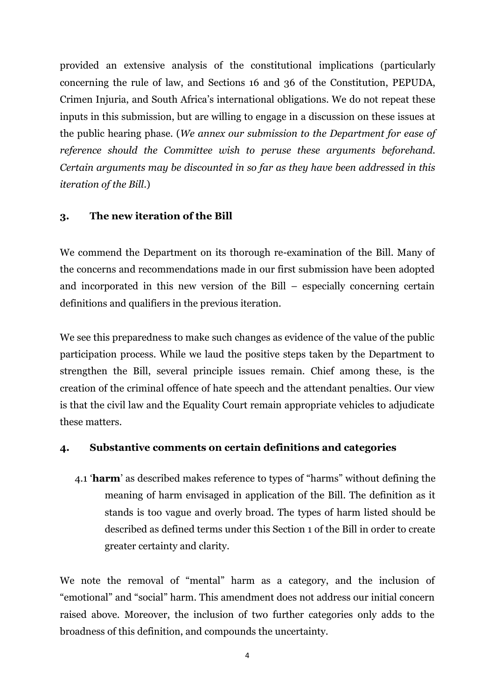provided an extensive analysis of the constitutional implications (particularly concerning the rule of law, and Sections 16 and 36 of the Constitution, PEPUDA, Crimen Injuria, and South Africa's international obligations. We do not repeat these inputs in this submission, but are willing to engage in a discussion on these issues at the public hearing phase. (*We annex our submission to the Department for ease of reference should the Committee wish to peruse these arguments beforehand. Certain arguments may be discounted in so far as they have been addressed in this iteration of the Bill*.)

## **3. The new iteration of the Bill**

We commend the Department on its thorough re-examination of the Bill. Many of the concerns and recommendations made in our first submission have been adopted and incorporated in this new version of the Bill – especially concerning certain definitions and qualifiers in the previous iteration.

We see this preparedness to make such changes as evidence of the value of the public participation process. While we laud the positive steps taken by the Department to strengthen the Bill, several principle issues remain. Chief among these, is the creation of the criminal offence of hate speech and the attendant penalties. Our view is that the civil law and the Equality Court remain appropriate vehicles to adjudicate these matters.

## **4. Substantive comments on certain definitions and categories**

4.1 '**harm**' as described makes reference to types of "harms" without defining the meaning of harm envisaged in application of the Bill. The definition as it stands is too vague and overly broad. The types of harm listed should be described as defined terms under this Section 1 of the Bill in order to create greater certainty and clarity.

We note the removal of "mental" harm as a category, and the inclusion of "emotional" and "social" harm. This amendment does not address our initial concern raised above. Moreover, the inclusion of two further categories only adds to the broadness of this definition, and compounds the uncertainty.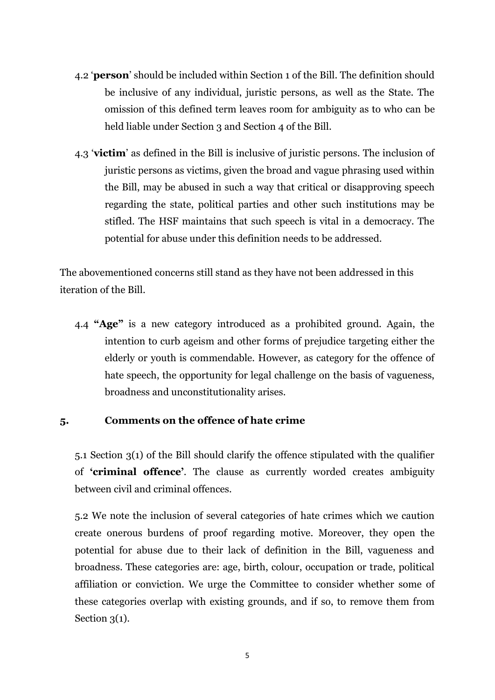- 4.2 '**person**' should be included within Section 1 of the Bill. The definition should be inclusive of any individual, juristic persons, as well as the State. The omission of this defined term leaves room for ambiguity as to who can be held liable under Section 3 and Section 4 of the Bill.
- 4.3 '**victim**' as defined in the Bill is inclusive of juristic persons. The inclusion of juristic persons as victims, given the broad and vague phrasing used within the Bill, may be abused in such a way that critical or disapproving speech regarding the state, political parties and other such institutions may be stifled. The HSF maintains that such speech is vital in a democracy. The potential for abuse under this definition needs to be addressed.

The abovementioned concerns still stand as they have not been addressed in this iteration of the Bill.

4.4 **"Age"** is a new category introduced as a prohibited ground. Again, the intention to curb ageism and other forms of prejudice targeting either the elderly or youth is commendable. However, as category for the offence of hate speech, the opportunity for legal challenge on the basis of vagueness, broadness and unconstitutionality arises.

## **5. Comments on the offence of hate crime**

5.1 Section 3(1) of the Bill should clarify the offence stipulated with the qualifier of **'criminal offence'**. The clause as currently worded creates ambiguity between civil and criminal offences.

5.2 We note the inclusion of several categories of hate crimes which we caution create onerous burdens of proof regarding motive. Moreover, they open the potential for abuse due to their lack of definition in the Bill, vagueness and broadness. These categories are: age, birth, colour, occupation or trade, political affiliation or conviction. We urge the Committee to consider whether some of these categories overlap with existing grounds, and if so, to remove them from Section  $3(1)$ .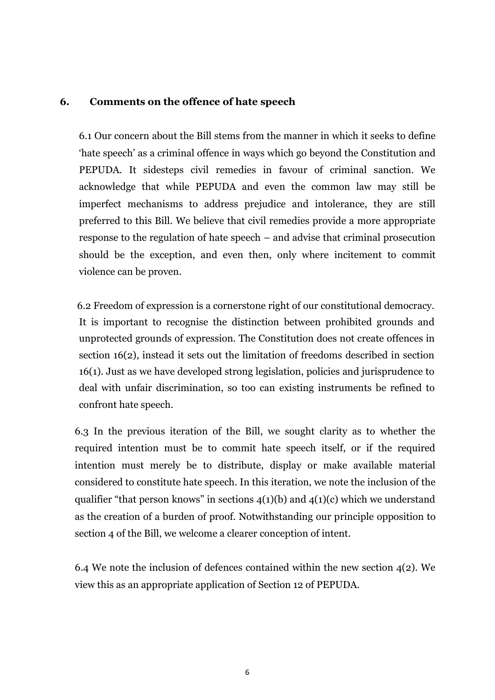#### **6. Comments on the offence of hate speech**

6.1 Our concern about the Bill stems from the manner in which it seeks to define 'hate speech' as a criminal offence in ways which go beyond the Constitution and PEPUDA. It sidesteps civil remedies in favour of criminal sanction. We acknowledge that while PEPUDA and even the common law may still be imperfect mechanisms to address prejudice and intolerance, they are still preferred to this Bill. We believe that civil remedies provide a more appropriate response to the regulation of hate speech – and advise that criminal prosecution should be the exception, and even then, only where incitement to commit violence can be proven.

6.2 Freedom of expression is a cornerstone right of our constitutional democracy. It is important to recognise the distinction between prohibited grounds and unprotected grounds of expression. The Constitution does not create offences in section 16(2), instead it sets out the limitation of freedoms described in section 16(1). Just as we have developed strong legislation, policies and jurisprudence to deal with unfair discrimination, so too can existing instruments be refined to confront hate speech.

6.3 In the previous iteration of the Bill, we sought clarity as to whether the required intention must be to commit hate speech itself, or if the required intention must merely be to distribute, display or make available material considered to constitute hate speech. In this iteration, we note the inclusion of the qualifier "that person knows" in sections  $4(1)(b)$  and  $4(1)(c)$  which we understand as the creation of a burden of proof. Notwithstanding our principle opposition to section 4 of the Bill, we welcome a clearer conception of intent.

6.4 We note the inclusion of defences contained within the new section 4(2). We view this as an appropriate application of Section 12 of PEPUDA.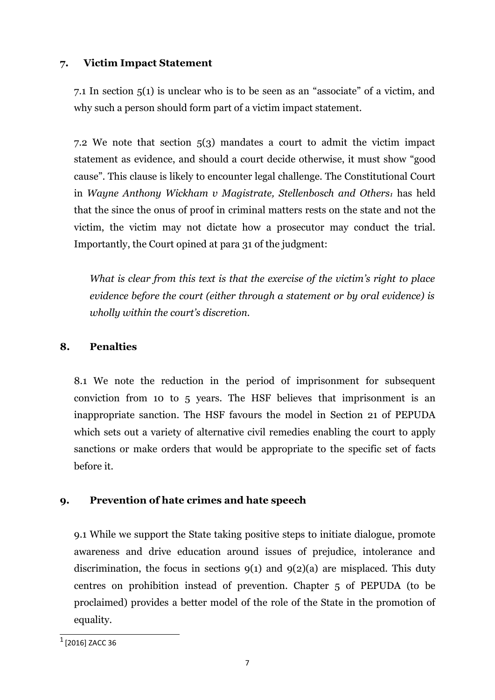## **7. Victim Impact Statement**

7.1 In section 5(1) is unclear who is to be seen as an "associate" of a victim, and why such a person should form part of a victim impact statement.

7.2 We note that section 5(3) mandates a court to admit the victim impact statement as evidence, and should a court decide otherwise, it must show "good cause". This clause is likely to encounter legal challenge. The Constitutional Court in *Wayne Anthony Wickham v Magistrate, Stellenbosch and Others<sup>1</sup>* has held that the since the onus of proof in criminal matters rests on the state and not the victim, the victim may not dictate how a prosecutor may conduct the trial. Importantly, the Court opined at para 31 of the judgment:

*What is clear from this text is that the exercise of the victim's right to place evidence before the court (either through a statement or by oral evidence) is wholly within the court's discretion.*

# **8. Penalties**

8.1 We note the reduction in the period of imprisonment for subsequent conviction from 10 to 5 years. The HSF believes that imprisonment is an inappropriate sanction. The HSF favours the model in Section 21 of PEPUDA which sets out a variety of alternative civil remedies enabling the court to apply sanctions or make orders that would be appropriate to the specific set of facts before it.

# **9. Prevention of hate crimes and hate speech**

9.1 While we support the State taking positive steps to initiate dialogue, promote awareness and drive education around issues of prejudice, intolerance and discrimination, the focus in sections  $9(1)$  and  $9(2)(a)$  are misplaced. This duty centres on prohibition instead of prevention. Chapter 5 of PEPUDA (to be proclaimed) provides a better model of the role of the State in the promotion of equality.

 $^{\rm 1}$  [2016] ZACC 36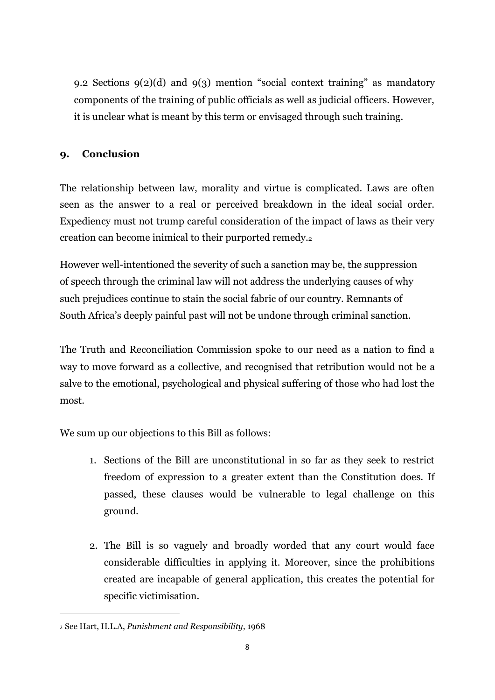9.2 Sections 9(2)(d) and 9(3) mention "social context training" as mandatory components of the training of public officials as well as judicial officers. However, it is unclear what is meant by this term or envisaged through such training.

### **9. Conclusion**

The relationship between law, morality and virtue is complicated. Laws are often seen as the answer to a real or perceived breakdown in the ideal social order. Expediency must not trump careful consideration of the impact of laws as their very creation can become inimical to their purported remedy.<sup>2</sup>

However well-intentioned the severity of such a sanction may be, the suppression of speech through the criminal law will not address the underlying causes of why such prejudices continue to stain the social fabric of our country. Remnants of South Africa's deeply painful past will not be undone through criminal sanction.

The Truth and Reconciliation Commission spoke to our need as a nation to find a way to move forward as a collective, and recognised that retribution would not be a salve to the emotional, psychological and physical suffering of those who had lost the most.

We sum up our objections to this Bill as follows:

- 1. Sections of the Bill are unconstitutional in so far as they seek to restrict freedom of expression to a greater extent than the Constitution does. If passed, these clauses would be vulnerable to legal challenge on this ground.
- 2. The Bill is so vaguely and broadly worded that any court would face considerable difficulties in applying it. Moreover, since the prohibitions created are incapable of general application, this creates the potential for specific victimisation.

<sup>2</sup> See Hart, H.L.A, *Punishment and Responsibility*, 1968